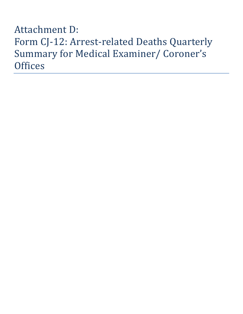# Attachment D: Form CJ-12: Arrest-related Deaths Quarterly Summary for Medical Examiner/ Coroner's **Offices**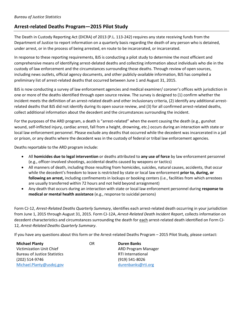### **Arrest-related Deaths Program—2015 Pilot Study**

The Death in Custody Reporting Act (DICRA) of 2013 (P.L. 113-242) requires any state receiving funds from the Department of Justice to report information on a quarterly basis regarding the death of any person who is detained, under arrest, or in the process of being arrested, en route to be incarcerated, or incarcerated.

In response to these reporting requirements, BJS is conducting a pilot study to determine the most efficient and comprehensive means of identifying arrest-delated deaths and collecting information about individuals who die in the custody of law enforcement and the circumstances surrounding those deaths. Through review of open sources, including news outlets, official agency documents, and other publicly-available information, BJS has compiled a preliminary list of arrest-related deaths that occurred between June 1 and August 31, 2015.

BJS is now conducting a survey of law enforcement agencies and medical examiner/ coroner's offices with jurisdiction in one or more of the deaths identified through open source review. The survey is designed to (1) confirm whether the incident meets the definition of an arrest-related death and other inclusionary criteria, (2) identify any additional arrestrelated deaths that BJS did not identify during its open source review, and (3) for all confirmed arrest-related deaths, collect additional information about the decedent and the circumstances surrounding the incident.

For the purposes of the ARD program, a death is "arrest-related" when the event causing the death (e.g., gunshot wound, self-inflicted injury, cardiac arrest, fall from a height, drowning, etc.) occurs during an interaction with state or local law enforcement personnel. Please exclude any deaths that occurred while the decedent was incarcerated in a jail or prison, or any deaths where the decedent was in the custody of federal or tribal law enforcement agencies.

Deaths reportable to the ARD program include:

- All **homicides due to legal intervention** or deaths attributed to **any use of force** by law enforcement personnel (e.g., officer-involved shootings, accidental deaths caused by weapons or tactics)
- All manners of death, including those resulting from homicides, suicides, natural causes, accidents, that occur while the decedent's freedom to leave is restricted by state or local law enforcement **prior to, during, or following an arrest,** including confinements in lockups or booking centers (i.e., facilities from which arrestees are usually transferred within 72 hours and not held beyond arraignment)
- Any death that occurs during an interaction with state or local law enforcement personnel during **response to medical or mental health assistance** (e.g., response to suicidal persons)

Form CJ-12, *Arrest-Related Deaths Quarterly Summary*, identifies each arrest-related death occurring in your jurisdiction from June 1, 2015 through August 31, 2015. Form CJ-12A, *Arrest-Related Death Incident Report*, collects information on decedent characteristics and circumstances surrounding the death for each arrest-related death identified on Form CJ-12*, Arrest-Related Deaths Quarterly Summary*.

If you have any questions about this form or the Arrest-related Deaths Program – 2015 Pilot Study, please contact:

| <b>Michael Planty</b>               | OR | <b>Duren Banks</b>       |
|-------------------------------------|----|--------------------------|
| Victimization Unit Chief            |    | ARD Program Manager      |
| <b>Bureau of Justice Statistics</b> |    | <b>RTI International</b> |
| (202) 514-9746                      |    | (919) 541-8026           |
| Michael.Planty@usdoj.gov            |    | durenbanks@rti.org       |